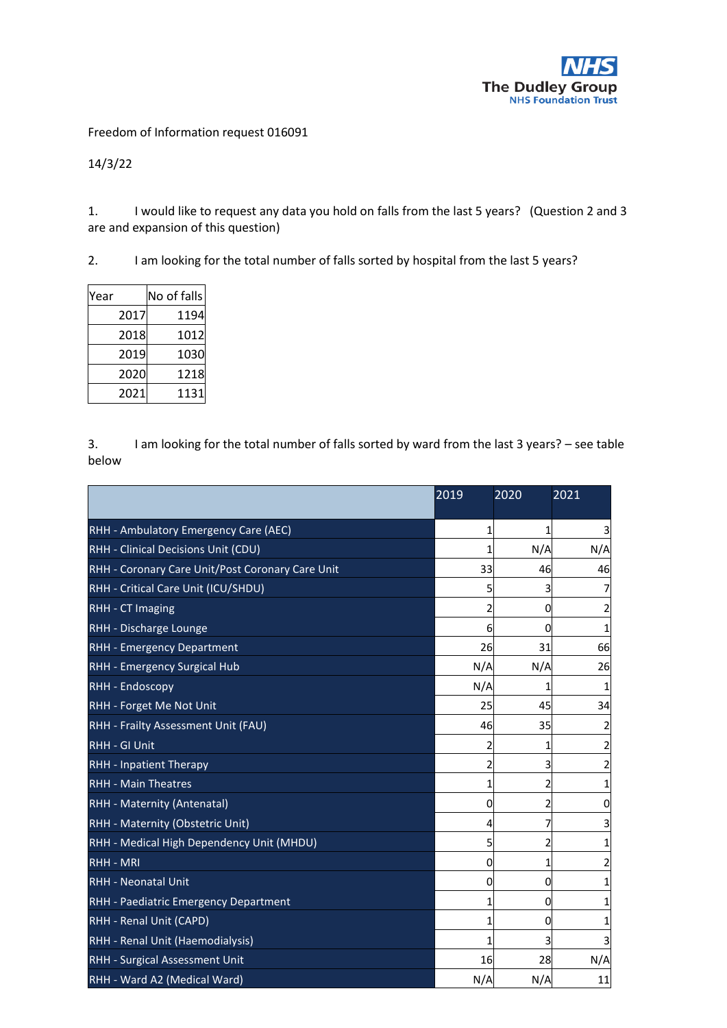

Freedom of Information request 016091

14/3/22

1. I would like to request any data you hold on falls from the last 5 years? (Question 2 and 3 are and expansion of this question)

2. I am looking for the total number of falls sorted by hospital from the last 5 years?

| Year | No of falls |
|------|-------------|
| 2017 | 1194        |
| 2018 | 1012        |
| 2019 | 1030        |
| 2020 | 1218        |
| 2021 | 1131        |

3. I am looking for the total number of falls sorted by ward from the last 3 years? – see table below

|                                                  | 2019 | 2020 | 2021 |
|--------------------------------------------------|------|------|------|
| RHH - Ambulatory Emergency Care (AEC)            | 1    | 1    | 3    |
| RHH - Clinical Decisions Unit (CDU)              | 1    | N/A  | N/A  |
| RHH - Coronary Care Unit/Post Coronary Care Unit | 33   | 46   | 46   |
| RHH - Critical Care Unit (ICU/SHDU)              | 5    | 3    |      |
| <b>RHH - CT Imaging</b>                          | 2    | 0    |      |
| RHH - Discharge Lounge                           | 6    | 0    |      |
| RHH - Emergency Department                       | 26   | 31   | 66   |
| RHH - Emergency Surgical Hub                     | N/A  | N/A  | 26   |
| RHH - Endoscopy                                  | N/A  | 1    |      |
| RHH - Forget Me Not Unit                         | 25   | 45   | 34   |
| RHH - Frailty Assessment Unit (FAU)              | 46   | 35   |      |
| <b>RHH - GI Unit</b>                             | 2    | 1    |      |
| RHH - Inpatient Therapy                          | 2    | 3    |      |
| <b>RHH - Main Theatres</b>                       | 1    | 2    |      |
| RHH - Maternity (Antenatal)                      | 0    | 2    | 0    |
| RHH - Maternity (Obstetric Unit)                 | 4    | 7    | 3    |
| RHH - Medical High Dependency Unit (MHDU)        | 5    | 2    |      |
| <b>RHH - MRI</b>                                 | 0    | 1    |      |
| <b>RHH - Neonatal Unit</b>                       | 0    | 0    |      |
| RHH - Paediatric Emergency Department            | 1    | 0    |      |
| RHH - Renal Unit (CAPD)                          | 1    | 0    |      |
| RHH - Renal Unit (Haemodialysis)                 | 1    | 3    |      |
| RHH - Surgical Assessment Unit                   | 16   | 28   | N/A  |
| RHH - Ward A2 (Medical Ward)                     | N/A  | N/A  | 11   |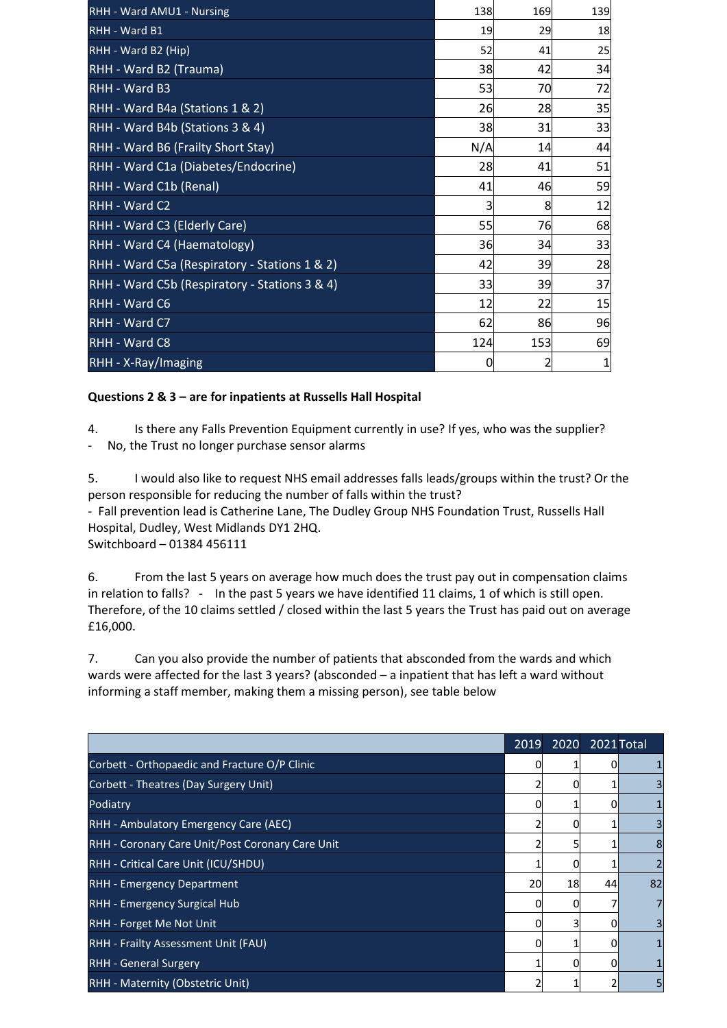| RHH - Ward AMU1 - Nursing                     | 138 | 169 | 139 |
|-----------------------------------------------|-----|-----|-----|
| <b>RHH - Ward B1</b>                          | 19  | 29  | 18  |
| RHH - Ward B2 (Hip)                           | 52  | 41  | 25  |
| RHH - Ward B2 (Trauma)                        | 38  | 42  | 34  |
| RHH - Ward B3                                 | 53  | 70  | 72  |
| RHH - Ward B4a (Stations 1 & 2)               | 26  | 28  | 35  |
| RHH - Ward B4b (Stations 3 & 4)               | 38  | 31  | 33  |
| RHH - Ward B6 (Frailty Short Stay)            | N/A | 14  | 44  |
| RHH - Ward C1a (Diabetes/Endocrine)           | 28  | 41  | 51  |
| RHH - Ward C1b (Renal)                        | 41  | 46  | 59  |
| RHH - Ward C2                                 | 3   | 8   | 12  |
| RHH - Ward C3 (Elderly Care)                  | 55  | 76  | 68  |
| RHH - Ward C4 (Haematology)                   | 36  | 34  | 33  |
| RHH - Ward C5a (Respiratory - Stations 1 & 2) | 42  | 39  | 28  |
| RHH - Ward C5b (Respiratory - Stations 3 & 4) | 33  | 39  | 37  |
| RHH - Ward C6                                 | 12  | 22  | 15  |
| RHH - Ward C7                                 | 62  | 86  | 96  |
| RHH - Ward C8                                 | 124 | 153 | 69  |
| RHH - X-Ray/Imaging                           | 0   | 2   | 1   |

## **Questions 2 & 3 – are for inpatients at Russells Hall Hospital**

4. Is there any Falls Prevention Equipment currently in use? If yes, who was the supplier?

- No, the Trust no longer purchase sensor alarms

5. I would also like to request NHS email addresses falls leads/groups within the trust? Or the person responsible for reducing the number of falls within the trust? - Fall prevention lead is Catherine Lane, The Dudley Group NHS Foundation Trust, Russells Hall Hospital, Dudley, West Midlands DY1 2HQ. Switchboard – 01384 456111

6. From the last 5 years on average how much does the trust pay out in compensation claims in relation to falls? - In the past 5 years we have identified 11 claims, 1 of which is still open. Therefore, of the 10 claims settled / closed within the last 5 years the Trust has paid out on average £16,000.

7. Can you also provide the number of patients that absconded from the wards and which wards were affected for the last 3 years? (absconded – a inpatient that has left a ward without informing a staff member, making them a missing person), see table below

|                                                  | 2019 | 2020 | 2021 Total   |                |
|--------------------------------------------------|------|------|--------------|----------------|
| Corbett - Orthopaedic and Fracture O/P Clinic    |      |      |              |                |
| Corbett - Theatres (Day Surgery Unit)            |      | n    |              | 3              |
| Podiatry                                         | 0    |      | U            |                |
| RHH - Ambulatory Emergency Care (AEC)            |      | 0    |              | 3              |
| RHH - Coronary Care Unit/Post Coronary Care Unit |      | 5    |              | 8              |
| RHH - Critical Care Unit (ICU/SHDU)              |      | 0    |              | $\overline{2}$ |
| <b>RHH - Emergency Department</b>                | 20   | 18   | 44           | 82             |
| RHH - Emergency Surgical Hub                     |      |      |              | 7              |
| RHH - Forget Me Not Unit                         | ი    | 3    | O            | 3              |
| RHH - Frailty Assessment Unit (FAU)              | ი    |      | O            | 1              |
| <b>RHH - General Surgery</b>                     |      | 0    | <sup>n</sup> |                |
| RHH - Maternity (Obstetric Unit)                 |      |      |              | 5              |